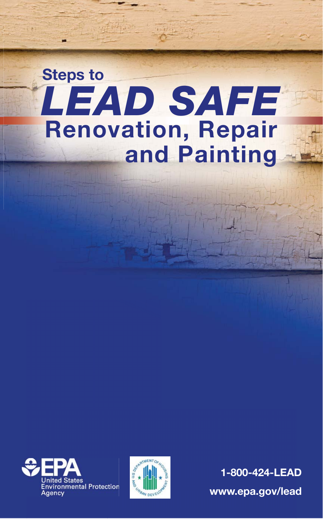## Steps to *LEAD SAFE*  Renovation, Repair and Painting





1-800-424-LEAD

www.epa.gov/lead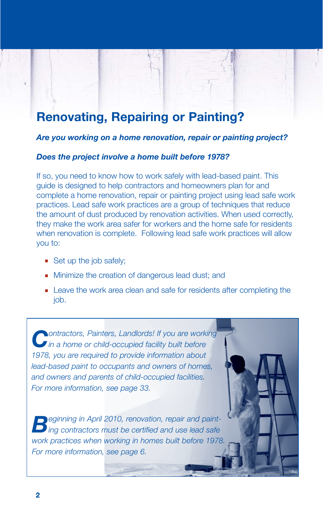## Renovating, Repairing or Painting?

#### *Are you working on a home renovation, repair or painting project?*

#### *Does the project involve a home built before 1978?*

If so, you need to know how to work safely with lead-based paint. This guide is designed to help contractors and homeowners plan for and complete a home renovation, repair or painting project using lead safe work practices. Lead safe work practices are a group of techniques that reduce the amount of dust produced by renovation activities. When used correctly, they make the work area safer for workers and the home safe for residents when renovation is complete. Following lead safe work practices will allow you to:

- Set up the job safely;
- Minimize the creation of dangerous lead dust; and
- Leave the work area clean and safe for residents after completing the job.

**C***C<sub><i>in a home or child-occupied facility built before*  $\frac{1}{2}$  *in a home or child-occupied facility built before*</sub> *1978, you are required to provide information about lead-based paint to occupants and owners of homes, and owners and parents of child-occupied facilities. For more information, see page 33.* 

**BB***eginning in April 2010, renovation, repair and paint-*<br> *ing contractors must be certified and use lead safe*<br> *industry and the state of and the state work practices when working in homes built before 1978. For more information, see page 6.*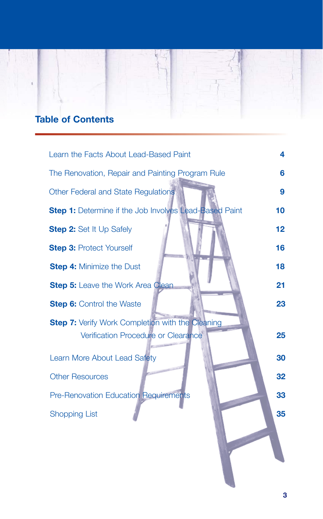## Table of Contents

| Learn the Facts About Lead-Based Paint                        | 4  |
|---------------------------------------------------------------|----|
| The Renovation, Repair and Painting Program Rule              | 6  |
| <b>Other Federal and State Regulations</b>                    | 9  |
| <b>Step 1:</b> Determine if the Job Involves Lead-Based Paint | 10 |
| <b>Step 2: Set It Up Safely</b>                               | 12 |
| <b>Step 3: Protect Yourself</b>                               | 16 |
| <b>Step 4: Minimize the Dust</b>                              | 18 |
| <b>Step 5:</b> Leave the Work Area Clean                      | 21 |
| <b>Step 6: Control the Waste</b>                              | 23 |
| Step 7: Verify Work Completion with the Cleaning              |    |
| Verification Procedure or Clearance                           | 25 |
| Learn More About Lead Safety                                  | 30 |
| <b>Other Resources</b>                                        | 32 |
| <b>Pre-Renovation Education Requirements</b>                  | 33 |
| <b>Shopping List</b>                                          | 35 |
|                                                               |    |
|                                                               |    |
|                                                               |    |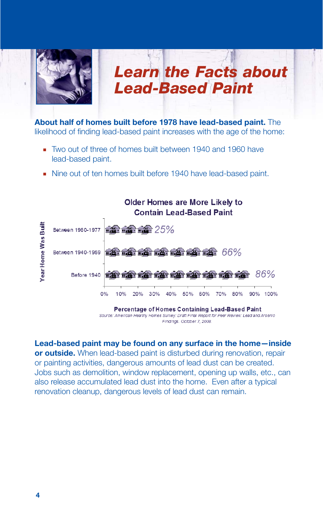

## *Learn the Facts about Lead-Based Paint*

About half of homes built before 1978 have lead-based paint. The likelihood of finding lead-based paint increases with the age of the home:

- Two out of three of homes built between 1940 and 1960 have lead-based paint.
- Nine out of ten homes built before 1940 have lead-based paint.



Source: American Healthy Homes Survey: Draft Final Report for Peer Review: Lead and Arsenic Findings. October 7, 2008.

Lead-based paint may be found on any surface in the home—inside or outside. When lead-based paint is disturbed during renovation, repair or painting activities, dangerous amounts of lead dust can be created. Jobs such as demolition, window replacement, opening up walls, etc., can also release accumulated lead dust into the home. Even after a typical renovation cleanup, dangerous levels of lead dust can remain.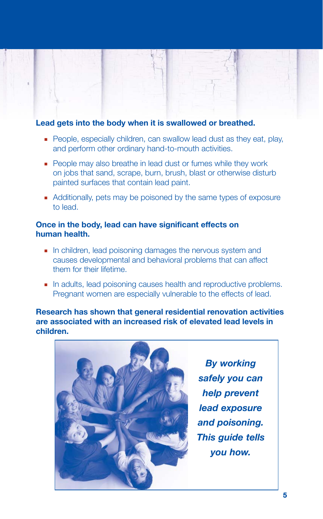#### Lead gets into the body when it is swallowed or breathed.

- People, especially children, can swallow lead dust as they eat, play, and perform other ordinary hand-to-mouth activities.
- People may also breathe in lead dust or fumes while they work on jobs that sand, scrape, burn, brush, blast or otherwise disturb painted surfaces that contain lead paint.
- Additionally, pets may be poisoned by the same types of exposure to lead.

#### Once in the body, lead can have significant effects on human health.

- In children, lead poisoning damages the nervous system and causes developmental and behavioral problems that can affect them for their lifetime.
- In adults, lead poisoning causes health and reproductive problems. Pregnant women are especially vulnerable to the effects of lead.

#### Research has shown that general residential renovation activities are associated with an increased risk of elevated lead levels in children.



*By working safely you can help prevent lead exposure and poisoning. This guide tells you how.*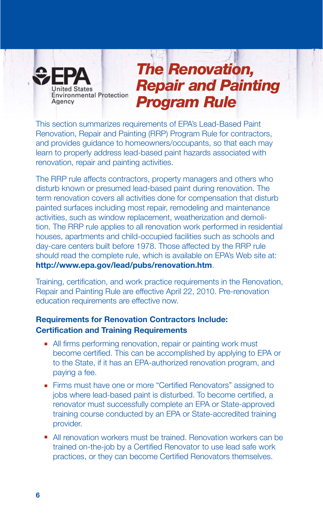

## *The Renovation, Repair and Painting Program Rule*

This section summarizes requirements of EPA's Lead-Based Paint Renovation, Repair and Painting (RRP) Program Rule for contractors, and provides guidance to homeowners/occupants, so that each may learn to properly address lead-based paint hazards associated with renovation, repair and painting activities.

The RRP rule affects contractors, property managers and others who disturb known or presumed lead-based paint during renovation. The term renovation covers all activities done for compensation that disturb painted surfaces including most repair, remodeling and maintenance activities, such as window replacement, weatherization and demolition. The RRP rule applies to all renovation work performed in residential houses, apartments and child-occupied facilities such as schools and day-care centers built before 1978. Those affected by the RRP rule should read the complete rule, which is available on EPA's Web site at: http://www.epa.gov/lead/pubs/renovation.htm.

Training, certification, and work practice requirements in the Renovation, Repair and Painting Rule are effective April 22, 2010. Pre-renovation education requirements are effective now.

#### Requirements for Renovation Contractors Include: Certification and Training Requirements

- All firms performing renovation, repair or painting work must become certified. This can be accomplished by applying to EPA or to the State, if it has an EPA-authorized renovation program, and paying a fee.
- Firms must have one or more "Certified Renovators" assigned to jobs where lead-based paint is disturbed. To become certified, a renovator must successfully complete an EPA or State-approved training course conducted by an EPA or State-accredited training provider.
- All renovation workers must be trained. Renovation workers can be trained on-the-job by a Certified Renovator to use lead safe work practices, or they can become Certified Renovators themselves.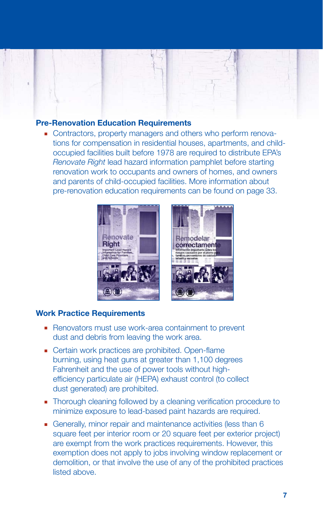#### Pre-Renovation Education Requirements

■ Contractors, property managers and others who perform renovations for compensation in residential houses, apartments, and childoccupied facilities built before 1978 are required to distribute EPA's *Renovate Right* lead hazard information pamphlet before starting renovation work to occupants and owners of homes, and owners and parents of child-occupied facilities. More information about pre-renovation education requirements can be found on page 33.



#### Work Practice Requirements

- Renovators must use work-area containment to prevent dust and debris from leaving the work area.
- Certain work practices are prohibited. Open-flame burning, using heat guns at greater than 1,100 degrees Fahrenheit and the use of power tools without highefficiency particulate air (HEPA) exhaust control (to collect dust generated) are prohibited.
- Thorough cleaning followed by a cleaning verification procedure to minimize exposure to lead-based paint hazards are required.
- Generally, minor repair and maintenance activities (less than 6 square feet per interior room or 20 square feet per exterior project) are exempt from the work practices requirements. However, this exemption does not apply to jobs involving window replacement or demolition, or that involve the use of any of the prohibited practices listed above.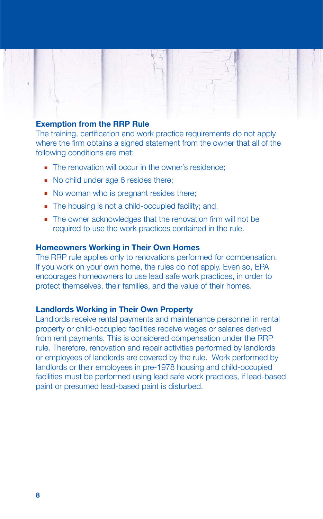### Exemption from the RRP Rule

The training, certification and work practice requirements do not apply where the firm obtains a signed statement from the owner that all of the following conditions are met:

- The renovation will occur in the owner's residence:
- No child under age 6 resides there;
- No woman who is pregnant resides there:
- The housing is not a child-occupied facility; and,
- The owner acknowledges that the renovation firm will not be required to use the work practices contained in the rule.

#### Homeowners Working in Their Own Homes

The RRP rule applies only to renovations performed for compensation. If you work on your own home, the rules do not apply. Even so, EPA encourages homeowners to use lead safe work practices, in order to protect themselves, their families, and the value of their homes.

#### Landlords Working in Their Own Property

Landlords receive rental payments and maintenance personnel in rental property or child-occupied facilities receive wages or salaries derived from rent payments. This is considered compensation under the RRP rule. Therefore, renovation and repair activities performed by landlords or employees of landlords are covered by the rule. Work performed by landlords or their employees in pre-1978 housing and child-occupied facilities must be performed using lead safe work practices, if lead-based paint or presumed lead-based paint is disturbed.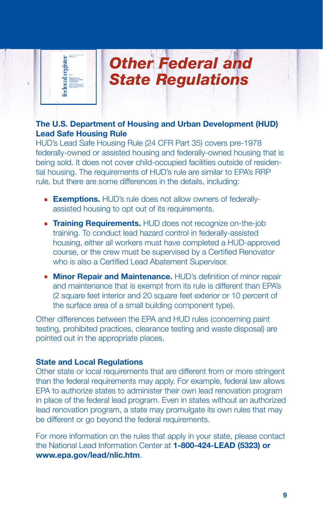## *Other Federal and State Regulations*

#### The U.S. Department of Housing and Urban Development (HUD) Lead Safe Housing Rule

HUD's Lead Safe Housing Rule (24 CFR Part 35) covers pre-1978 federally-owned or assisted housing and federally-owned housing that is being sold. It does not cover child-occupied facilities outside of residential housing. The requirements of HUD's rule are similar to EPA's RRP rule, but there are some differences in the details, including:

- **Exemptions.** HUD's rule does not allow owners of federallyassisted housing to opt out of its requirements.
- **Training Requirements.** HUD does not recognize on-the-job training. To conduct lead hazard control in federally-assisted housing, either all workers must have completed a HUD-approved course, or the crew must be supervised by a Certified Renovator who is also a Certified Lead Abatement Supervisor.
- **Minor Repair and Maintenance.** HUD's definition of minor repair and maintenance that is exempt from its rule is different than EPA's (2 square feet interior and 20 square feet exterior or 10 percent of the surface area of a small building component type).

Other differences between the EPA and HUD rules (concerning paint testing, prohibited practices, clearance testing and waste disposal) are pointed out in the appropriate places.

#### State and Local Regulations

**federal register**<br>| ||| ||<br>| || ||

Other state or local requirements that are different from or more stringent than the federal requirements may apply. For example, federal law allows EPA to authorize states to administer their own lead renovation program in place of the federal lead program. Even in states without an authorized lead renovation program, a state may promulgate its own rules that may be different or go beyond the federal requirements.

For more information on the rules that apply in your state, please contact the National Lead Information Center at 1-800-424-LEAD (5323) or www.epa.gov/lead/nlic.htm.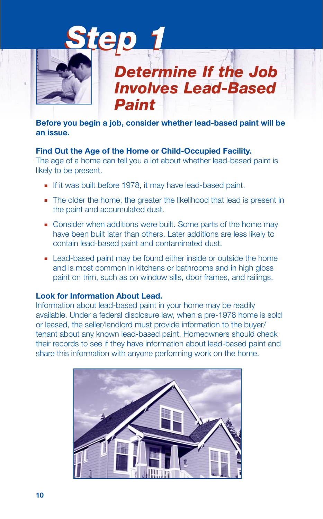# *Step 1*



Before you begin a job, consider whether lead-based paint will be an issue.

#### . Find Out the Age of the Home or Child-Occupied Facility.

The age of a home can tell you a lot about whether lead-based paint is likely to be present.

- If it was built before 1978, it may have lead-based paint.
- The older the home, the greater the likelihood that lead is present in the paint and accumulated dust.
- Consider when additions were built. Some parts of the home may have been built later than others. Later additions are less likely to contain lead-based paint and contaminated dust.
- Lead-based paint may be found either inside or outside the home and is most common in kitchens or bathrooms and in high gloss paint on trim, such as on window sills, door frames, and railings.

#### . Look for Information About Lead.

Information about lead-based paint in your home may be readily available. Under a federal disclosure law, when a pre-1978 home is sold or leased, the seller/landlord must provide information to the buyer/ tenant about any known lead-based paint. Homeowners should check their records to see if they have information about lead-based paint and share this information with anyone performing work on the home.

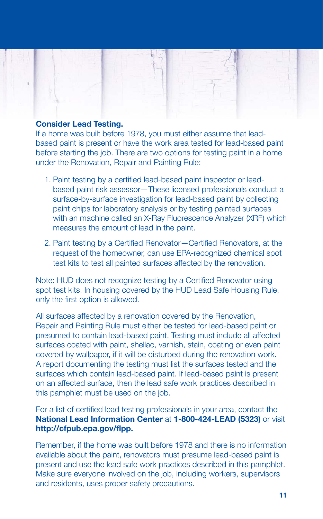#### Consider Lead Testing.

If a home was built before 1978, you must either assume that leadbased paint is present or have the work area tested for lead-based paint before starting the job. There are two options for testing paint in a home under the Renovation, Repair and Painting Rule:

- 1. Paint testing by a certified lead-based paint inspector or leadbased paint risk assessor—These licensed professionals conduct a surface-by-surface investigation for lead-based paint by collecting paint chips for laboratory analysis or by testing painted surfaces with an machine called an X-Ray Fluorescence Analyzer (XRF) which measures the amount of lead in the paint.
- 2. Paint testing by a Certified Renovator—Certified Renovators, at the request of the homeowner, can use EPA-recognized chemical spot test kits to test all painted surfaces affected by the renovation.

Note: HUD does not recognize testing by a Certified Renovator using spot test kits. In housing covered by the HUD Lead Safe Housing Rule, only the first option is allowed.

All surfaces affected by a renovation covered by the Renovation, Repair and Painting Rule must either be tested for lead-based paint or presumed to contain lead-based paint. Testing must include all affected surfaces coated with paint, shellac, varnish, stain, coating or even paint covered by wallpaper, if it will be disturbed during the renovation work. A report documenting the testing must list the surfaces tested and the surfaces which contain lead-based paint. If lead-based paint is present on an affected surface, then the lead safe work practices described in this pamphlet must be used on the job.

For a list of certified lead testing professionals in your area, contact the National Lead Information Center at 1-800-424-LEAD (5323) or visit http://cfpub.epa.gov/flpp.

Remember, if the home was built before 1978 and there is no information available about the paint, renovators must presume lead-based paint is present and use the lead safe work practices described in this pamphlet. Make sure everyone involved on the job, including workers, supervisors and residents, uses proper safety precautions.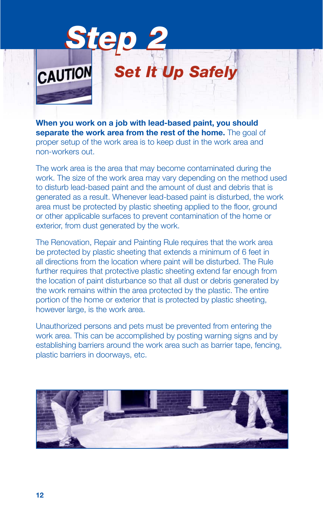## $\mathbf{t}$ ep 7 CAUTION *Set It Up Safely*

When you work on a job with lead-based paint, you should separate the work area from the rest of the home. The goal of proper setup of the work area is to keep dust in the work area and non-workers out.

The work area is the area that may become contaminated during the work. The size of the work area may vary depending on the method used to disturb lead-based paint and the amount of dust and debris that is generated as a result. Whenever lead-based paint is disturbed, the work area must be protected by plastic sheeting applied to the floor, ground or other applicable surfaces to prevent contamination of the home or exterior, from dust generated by the work.

The Renovation, Repair and Painting Rule requires that the work area be protected by plastic sheeting that extends a minimum of 6 feet in all directions from the location where paint will be disturbed. The Rule further requires that protective plastic sheeting extend far enough from the location of paint disturbance so that all dust or debris generated by the work remains within the area protected by the plastic. The entire portion of the home or exterior that is protected by plastic sheeting, however large, is the work area.

Unauthorized persons and pets must be prevented from entering the work area. This can be accomplished by posting warning signs and by establishing barriers around the work area such as barrier tape, fencing, plastic barriers in doorways, etc.

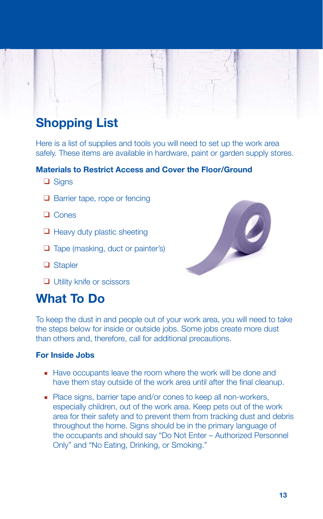## Shopping List

Here is a list of supplies and tools you will need to set up the work area safely. These items are available in hardware, paint or garden supply stores.

### Materials to Restrict Access and Cover the Floor/Ground

- ❑ Signs
- □ Barrier tape, rope or fencing
- ❑ Cones
- $\Box$  Heavy duty plastic sheeting
- $\Box$  Tape (masking, duct or painter's)
- □ Stapler
- ❑ Utility knife or scissors

## What To Do

To keep the dust in and people out of your work area, you will need to take the steps below for inside or outside jobs. Some jobs create more dust than others and, therefore, call for additional precautions.

### For Inside Jobs

- Have occupants leave the room where the work will be done and have them stay outside of the work area until after the final cleanup.
- Place signs, barrier tape and/or cones to keep all non-workers, especially children, out of the work area. Keep pets out of the work area for their safety and to prevent them from tracking dust and debris throughout the home. Signs should be in the primary language of the occupants and should say "Do Not Enter – Authorized Personnel Only" and "No Eating, Drinking, or Smoking."

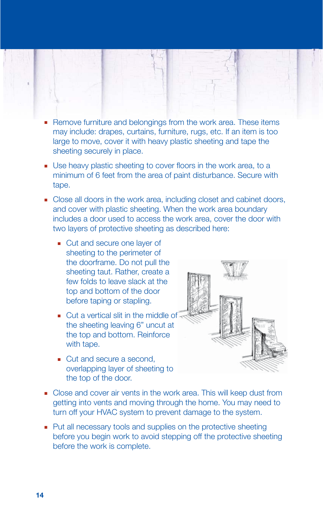- Remove furniture and belongings from the work area. These items may include: drapes, curtains, furniture, rugs, etc. If an item is too large to move, cover it with heavy plastic sheeting and tape the sheeting securely in place.
- Use heavy plastic sheeting to cover floors in the work area, to a minimum of 6 feet from the area of paint disturbance. Secure with tape.
- Close all doors in the work area, including closet and cabinet doors, and cover with plastic sheeting. When the work area boundary includes a door used to access the work area, cover the door with two layers of protective sheeting as described here:
	- Cut and secure one layer of sheeting to the perimeter of the doorframe. Do not pull the sheeting taut. Rather, create a few folds to leave slack at the top and bottom of the door before taping or stapling.
	- Cut a vertical slit in the middle of the sheeting leaving 6" uncut at the top and bottom. Reinforce with tape.
	- Cut and secure a second, overlapping layer of sheeting to the top of the door.



- Close and cover air vents in the work area. This will keep dust from getting into vents and moving through the home. You may need to turn off your HVAC system to prevent damage to the system.
- Put all necessary tools and supplies on the protective sheeting before you begin work to avoid stepping off the protective sheeting before the work is complete.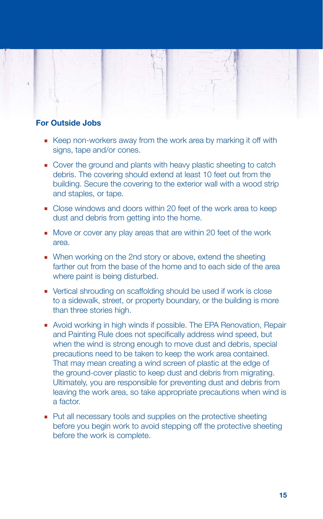#### For Outside Jobs

- Keep non-workers away from the work area by marking it off with signs, tape and/or cones.
- Cover the ground and plants with heavy plastic sheeting to catch debris. The covering should extend at least 10 feet out from the building. Secure the covering to the exterior wall with a wood strip and staples, or tape.
- Close windows and doors within 20 feet of the work area to keep dust and debris from getting into the home.
- Move or cover any play areas that are within 20 feet of the work area.
- When working on the 2nd story or above, extend the sheeting farther out from the base of the home and to each side of the area where paint is being disturbed.
- Vertical shrouding on scaffolding should be used if work is close to a sidewalk, street, or property boundary, or the building is more than three stories high.
- Avoid working in high winds if possible. The EPA Renovation, Repair and Painting Rule does not specifically address wind speed, but when the wind is strong enough to move dust and debris, special precautions need to be taken to keep the work area contained. That may mean creating a wind screen of plastic at the edge of the ground-cover plastic to keep dust and debris from migrating. Ultimately, you are responsible for preventing dust and debris from leaving the work area, so take appropriate precautions when wind is a factor.
- Put all necessary tools and supplies on the protective sheeting before you begin work to avoid stepping off the protective sheeting before the work is complete.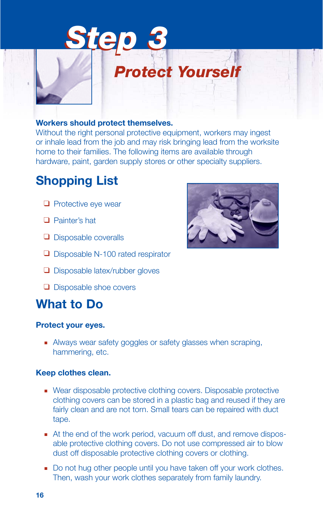# *Step 3 Protect Yourself*

#### Workers should protect themselves.

Without the right personal protective equipment, workers may ingest or inhale lead from the job and may risk bringing lead from the worksite home to their families. The following items are available through hardware, paint, garden supply stores or other specialty suppliers.

## Shopping List

- $\Box$  Protective eye wear
- □ Painter's hat
- $\Box$  Disposable coveralls
- □ Disposable N-100 rated respirator
- $\Box$  Disposable latex/rubber gloves
- □ Disposable shoe covers

## What to Do

#### Protect your eyes.

■ Always wear safety goggles or safety glasses when scraping, hammering, etc.

#### Keep clothes clean.

- Wear disposable protective clothing covers. Disposable protective clothing covers can be stored in a plastic bag and reused if they are fairly clean and are not torn. Small tears can be repaired with duct tape.
- At the end of the work period, vacuum off dust, and remove disposable protective clothing covers. Do not use compressed air to blow dust off disposable protective clothing covers or clothing.
- Do not hug other people until you have taken off your work clothes. Then, wash your work clothes separately from family laundry.

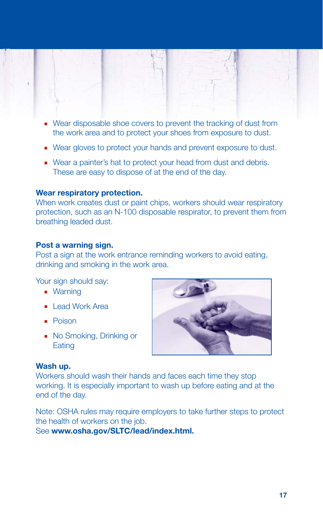- Wear disposable shoe covers to prevent the tracking of dust from the work area and to protect your shoes from exposure to dust.
- Wear gloves to protect your hands and prevent exposure to dust.
- Wear a painter's hat to protect your head from dust and debris. These are easy to dispose of at the end of the day.

#### Wear respiratory protection.

When work creates dust or paint chips, workers should wear respiratory protection, such as an N-100 disposable respirator, to prevent them from breathing leaded dust.

#### Post a warning sign.

Post a sign at the work entrance reminding workers to avoid eating, drinking and smoking in the work area.

Your sign should say:

- Warning
- Lead Work Area
- Poison
- No Smoking, Drinking or Eating

#### Wash up.

Workers should wash their hands and faces each time they stop working. It is especially important to wash up before eating and at the end of the day.

Note: OSHA rules may require employers to take further steps to protect the health of workers on the job.

See www.osha.gov/SLTC/lead/index.html.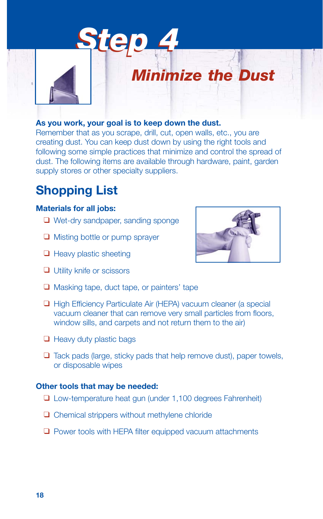# *Step 4 Step 4*

## *Minimize the Dust*

#### As you work, your goal is to keep down the dust.

Remember that as you scrape, drill, cut, open walls, etc., you are creating dust. You can keep dust down by using the right tools and following some simple practices that minimize and control the spread of dust. The following items are available through hardware, paint, garden supply stores or other specialty suppliers.

## Shopping List

#### Materials for all jobs:

- $\Box$  Wet-dry sandpaper, sanding sponge
- $\Box$  Misting bottle or pump sprayer
- $\Box$  Heavy plastic sheeting
- ❑ Utility knife or scissors
- $\Box$  Masking tape, duct tape, or painters' tape
- □ High Efficiency Particulate Air (HEPA) vacuum cleaner (a special vacuum cleaner that can remove very small particles from floors, window sills, and carpets and not return them to the air)
- $\Box$  Heavy duty plastic bags
- $\Box$  Tack pads (large, sticky pads that help remove dust), paper towels, or disposable wipes

#### Other tools that may be needed:

- □ Low-temperature heat gun (under 1,100 degrees Fahrenheit)
- $\Box$  Chemical strippers without methylene chloride
- $\Box$  Power tools with HEPA filter equipped vacuum attachments

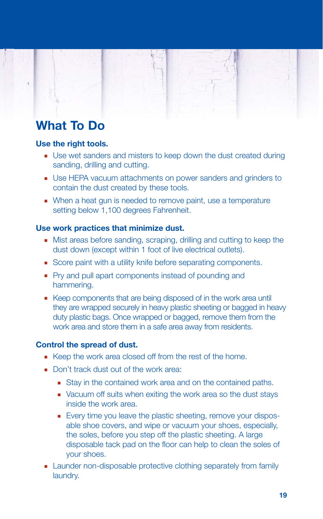## What To Do

#### Use the right tools.

- Use wet sanders and misters to keep down the dust created during sanding, drilling and cutting.
- Use HEPA vacuum attachments on power sanders and grinders to contain the dust created by these tools.
- When a heat gun is needed to remove paint, use a temperature setting below 1,100 degrees Fahrenheit.

#### Use work practices that minimize dust.

- Mist areas before sanding, scraping, drilling and cutting to keep the dust down (except within 1 foot of live electrical outlets).
- Score paint with a utility knife before separating components.
- Pry and pull apart components instead of pounding and hammering.
- Keep components that are being disposed of in the work area until they are wrapped securely in heavy plastic sheeting or bagged in heavy duty plastic bags. Once wrapped or bagged, remove them from the work area and store them in a safe area away from residents.

### Control the spread of dust.

- Keep the work area closed off from the rest of the home.
- Don't track dust out of the work area:
	- Stay in the contained work area and on the contained paths.
	- Vacuum off suits when exiting the work area so the dust stays inside the work area.
	- Every time you leave the plastic sheeting, remove your disposable shoe covers, and wipe or vacuum your shoes, especially, the soles, before you step off the plastic sheeting. A large disposable tack pad on the floor can help to clean the soles of your shoes.
- Launder non-disposable protective clothing separately from family laundry.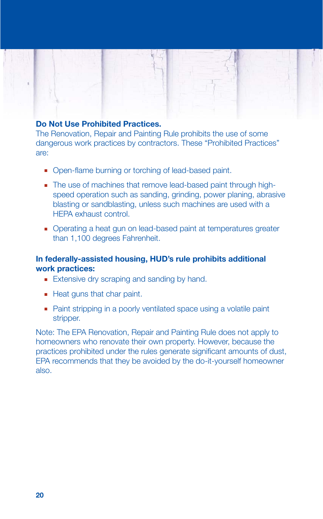#### Do Not Use Prohibited Practices.

The Renovation, Repair and Painting Rule prohibits the use of some dangerous work practices by contractors. These "Prohibited Practices" are:

- Open-flame burning or torching of lead-based paint.
- The use of machines that remove lead-based paint through highspeed operation such as sanding, grinding, power planing, abrasive blasting or sandblasting, unless such machines are used with a HEPA exhaust control.
- Operating a heat gun on lead-based paint at temperatures greater than 1,100 degrees Fahrenheit.

#### In federally-assisted housing, HUD's rule prohibits additional work practices:

- Extensive dry scraping and sanding by hand.
- Heat guns that char paint.
- Paint stripping in a poorly ventilated space using a volatile paint stripper.

Note: The EPA Renovation, Repair and Painting Rule does not apply to homeowners who renovate their own property. However, because the practices prohibited under the rules generate significant amounts of dust, EPA recommends that they be avoided by the do-it-yourself homeowner also.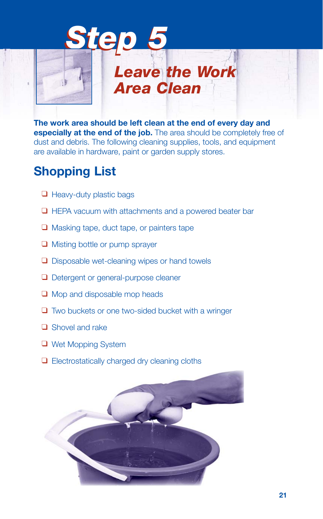

The work area should be left clean at the end of every day and **especially at the end of the job.** The area should be completely free of dust and debris. The following cleaning supplies, tools, and equipment are available in hardware, paint or garden supply stores.

## Shopping List

- ❑ Heavy-duty plastic bags
- ❑ HEPA vacuum with attachments and a powered beater bar
- ❑ Masking tape, duct tape, or painters tape
- ❑ Misting bottle or pump sprayer
- ❑ Disposable wet-cleaning wipes or hand towels
- ❑ Detergent or general-purpose cleaner
- ❑ Mop and disposable mop heads
- ❑ Two buckets or one two-sided bucket with a wringer
- ❑ Shovel and rake
- ❑ Wet Mopping System
- ❑ Electrostatically charged dry cleaning cloths

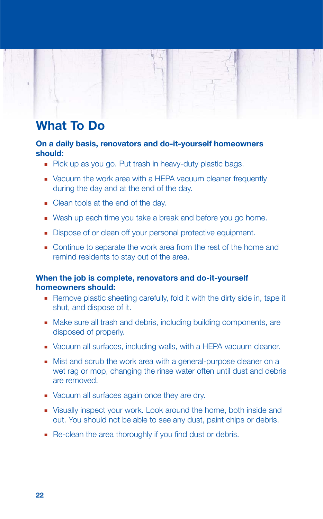## What To Do

#### On a daily basis, renovators and do-it-yourself homeowners should:

- Pick up as you go. Put trash in heavy-duty plastic bags.
- Vacuum the work area with a HEPA vacuum cleaner frequently during the day and at the end of the day.
- Clean tools at the end of the day.
- Wash up each time you take a break and before you go home.
- Dispose of or clean off your personal protective equipment.
- Continue to separate the work area from the rest of the home and remind residents to stay out of the area.

#### When the job is complete, renovators and do-it-yourself homeowners should:

- Remove plastic sheeting carefully, fold it with the dirty side in, tape it shut, and dispose of it.
- Make sure all trash and debris, including building components, are disposed of properly.
- Vacuum all surfaces, including walls, with a HEPA vacuum cleaner.
- Mist and scrub the work area with a general-purpose cleaner on a wet rag or mop, changing the rinse water often until dust and debris are removed.
- Vacuum all surfaces again once they are dry.
- Visually inspect your work. Look around the home, both inside and out. You should not be able to see any dust, paint chips or debris.
- Re-clean the area thoroughly if you find dust or debris.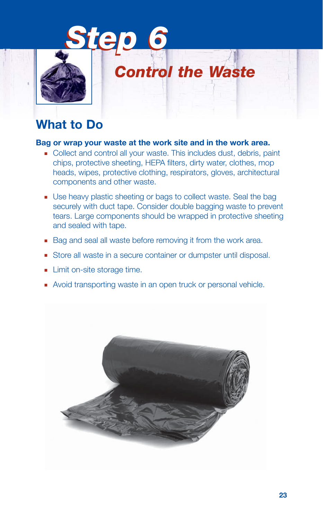# *Step 6 Control the Waste*

## What to Do

#### Bag or wrap your waste at the work site and in the work area.

- Collect and control all your waste. This includes dust, debris, paint chips, protective sheeting, HEPA filters, dirty water, clothes, mop heads, wipes, protective clothing, respirators, gloves, architectural components and other waste.
- Use heavy plastic sheeting or bags to collect waste. Seal the bag securely with duct tape. Consider double bagging waste to prevent tears. Large components should be wrapped in protective sheeting and sealed with tape.
- Bag and seal all waste before removing it from the work area.
- Store all waste in a secure container or dumpster until disposal.
- Limit on-site storage time.
- Avoid transporting waste in an open truck or personal vehicle.

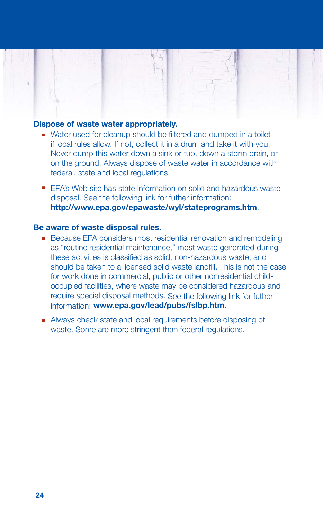#### Dispose of waste water appropriately.

- Water used for cleanup should be filtered and dumped in a toilet if local rules allow. If not, collect it in a drum and take it with you. Never dump this water down a sink or tub, down a storm drain, or on the ground. Always dispose of waste water in accordance with federal, state and local regulations.
- EPA's Web site has state information on solid and hazardous waste disposal. See the following link for futher information: http://www.epa.gov/epawaste/wyl/stateprograms.htm.

#### Be aware of waste disposal rules.

- Because EPA considers most residential renovation and remodeling as "routine residential maintenance," most waste generated during these activities is classified as solid, non-hazardous waste, and should be taken to a licensed solid waste landfill. This is not the case for work done in commercial, public or other nonresidential childoccupied facilities, where waste may be considered hazardous and require special disposal methods. See the following link for futher information: www.epa.gov/lead/pubs/fslbp.htm.
- Always check state and local requirements before disposing of waste. Some are more stringent than federal regulations.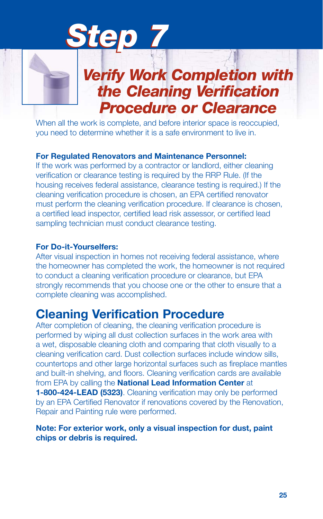

## *Verify Work Completion with the Cleaning Verification Procedure or Clearance*

When all the work is complete, and before interior space is reoccupied, you need to determine whether it is a safe environment to live in.

#### For Regulated Renovators and Maintenance Personnel:

If the work was performed by a contractor or landlord, either cleaning verification or clearance testing is required by the RRP Rule. (If the housing receives federal assistance, clearance testing is required.) If the cleaning verification procedure is chosen, an EPA certified renovator must perform the cleaning verification procedure. If clearance is chosen, a certified lead inspector, certified lead risk assessor, or certified lead sampling technician must conduct clearance testing.

#### For Do-it-Yourselfers:

After visual inspection in homes not receiving federal assistance, where the homeowner has completed the work, the homeowner is not required to conduct a cleaning verification procedure or clearance, but EPA strongly recommends that you choose one or the other to ensure that a complete cleaning was accomplished.

## Cleaning Verification Procedure

After completion of cleaning, the cleaning verification procedure is performed by wiping all dust collection surfaces in the work area with a wet, disposable cleaning cloth and comparing that cloth visually to a cleaning verification card. Dust collection surfaces include window sills, countertops and other large horizontal surfaces such as fireplace mantles and built-in shelving, and floors. Cleaning verification cards are available from EPA by calling the **National Lead Information Center** at 1-800-424-LEAD (5323). Cleaning verification may only be performed by an EPA Certified Renovator if renovations covered by the Renovation, Repair and Painting rule were performed.

#### Note: For exterior work, only a visual inspection for dust, paint chips or debris is required.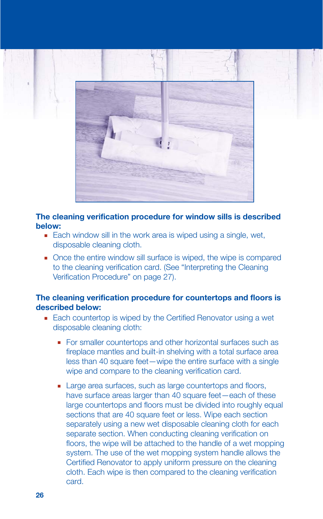

The cleaning verification procedure for window sills is described below:

- $\blacksquare$  Each window sill in the work area is wiped using a single, wet, disposable cleaning cloth.
- Once the entire window sill surface is wiped, the wipe is compared to the cleaning verification card. (See "Interpreting the Cleaning Verification Procedure" on page 27).

#### The cleaning verification procedure for countertops and floors is described below:

- Each countertop is wiped by the Certified Renovator using a wet disposable cleaning cloth:
	- For smaller countertops and other horizontal surfaces such as fireplace mantles and built-in shelving with a total surface area less than 40 square feet—wipe the entire surface with a single wipe and compare to the cleaning verification card.
	- Large area surfaces, such as large countertops and floors, have surface areas larger than 40 square feet—each of these large countertops and floors must be divided into roughly equal sections that are 40 square feet or less. Wipe each section separately using a new wet disposable cleaning cloth for each separate section. When conducting cleaning verification on floors, the wipe will be attached to the handle of a wet mopping system. The use of the wet mopping system handle allows the Certified Renovator to apply uniform pressure on the cleaning cloth. Each wipe is then compared to the cleaning verification card.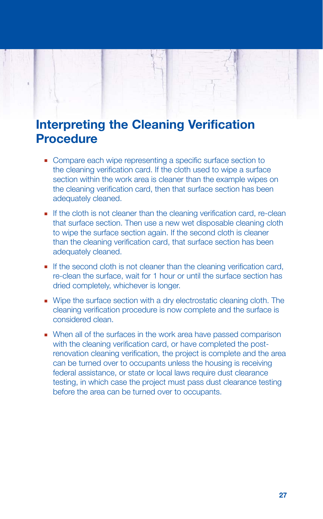## Interpreting the Cleaning Verification Procedure

- Compare each wipe representing a specific surface section to the cleaning verification card. If the cloth used to wipe a surface section within the work area is cleaner than the example wipes on the cleaning verification card, then that surface section has been adequately cleaned.
- If the cloth is not cleaner than the cleaning verification card, re-clean that surface section. Then use a new wet disposable cleaning cloth to wipe the surface section again. If the second cloth is cleaner than the cleaning verification card, that surface section has been adequately cleaned.
- If the second cloth is not cleaner than the cleaning verification card, re-clean the surface, wait for 1 hour or until the surface section has dried completely, whichever is longer.
- Wipe the surface section with a dry electrostatic cleaning cloth. The cleaning verification procedure is now complete and the surface is considered clean.
- When all of the surfaces in the work area have passed comparison with the cleaning verification card, or have completed the postrenovation cleaning verification, the project is complete and the area can be turned over to occupants unless the housing is receiving federal assistance, or state or local laws require dust clearance testing, in which case the project must pass dust clearance testing before the area can be turned over to occupants.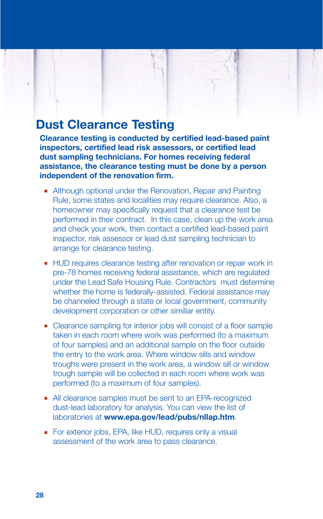### Dust Clearance Testing

Clearance testing is conducted by certified lead-based paint inspectors, certified lead risk assessors, or certified lead dust sampling technicians. For homes receiving federal assistance, the clearance testing must be done by a person independent of the renovation firm.

- Although optional under the Renovation, Repair and Painting Rule, some states and localities may require clearance. Also, a homeowner may specifically request that a clearance test be performed in their contract. In this case, clean up the work area and check your work, then contact a certified lead-based paint inspector, risk assessor or lead dust sampling technician to arrange for clearance testing.
- HUD requires clearance testing after renovation or repair work in pre-78 homes receiving federal assistance, which are regulated under the Lead Safe Housing Rule. Contractors must determine whether the home is federally-assisted. Federal assistance may be channeled through a state or local government, community development corporation or other similiar entity.
- Clearance sampling for interior jobs will consist of a floor sample taken in each room where work was performed (to a maximum of four samples) and an additional sample on the floor outside the entry to the work area. Where window sills and window troughs were present in the work area, a window sill or window trough sample will be collected in each room where work was performed (to a maximum of four samples).
- All clearance samples must be sent to an EPA-recognized dust-lead laboratory for analysis. You can view the list of laboratories at www.epa.gov/lead/pubs/nllap.htm.
- For exterior jobs, EPA, like HUD, requires only a visual assessment of the work area to pass clearance.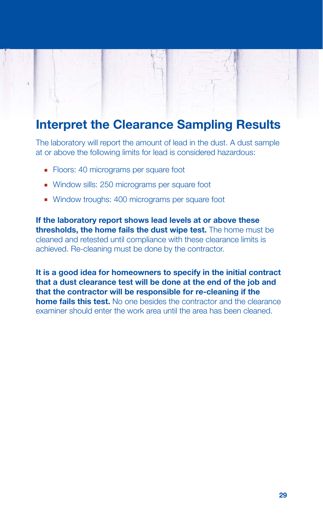## Interpret the Clearance Sampling Results

The laboratory will report the amount of lead in the dust. A dust sample at or above the following limits for lead is considered hazardous:

- Floors: 40 micrograms per square foot
- Window sills: 250 micrograms per square foot
- Window troughs: 400 micrograms per square foot

If the laboratory report shows lead levels at or above these thresholds, the home fails the dust wipe test. The home must be cleaned and retested until compliance with these clearance limits is achieved. Re-cleaning must be done by the contractor.

It is a good idea for homeowners to specify in the initial contract that a dust clearance test will be done at the end of the job and that the contractor will be responsible for re-cleaning if the home fails this test. No one besides the contractor and the clearance examiner should enter the work area until the area has been cleaned.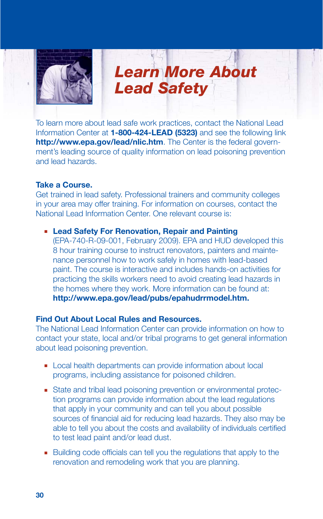

*Learn More About Lead Safety* 

To learn more about lead safe work practices, contact the National Lead Information Center at 1-800-424-LEAD (5323) and see the following link http://www.epa.gov/lead/nlic.htm. The Center is the federal government's leading source of quality information on lead poisoning prevention and lead hazards.

#### Take a Course.

Get trained in lead safety. Professional trainers and community colleges in your area may offer training. For information on courses, contact the National Lead Information Center. One relevant course is:

■ Lead Safety For Renovation, Repair and Painting (EPA-740-R-09-001, February 2009). EPA and HUD developed this 8 hour training course to instruct renovators, painters and maintenance personnel how to work safely in homes with lead-based paint. The course is interactive and includes hands-on activities for practicing the skills workers need to avoid creating lead hazards in the homes where they work. More information can be found at: http://www.epa.gov/lead/pubs/epahudrrmodel.htm.

#### Find Out About Local Rules and Resources.

The National Lead Information Center can provide information on how to contact your state, local and/or tribal programs to get general information about lead poisoning prevention.

- Local health departments can provide information about local programs, including assistance for poisoned children.
- State and tribal lead poisoning prevention or environmental protection programs can provide information about the lead regulations that apply in your community and can tell you about possible sources of financial aid for reducing lead hazards. They also may be able to tell you about the costs and availability of individuals certified to test lead paint and/or lead dust.
- Building code officials can tell you the regulations that apply to the renovation and remodeling work that you are planning.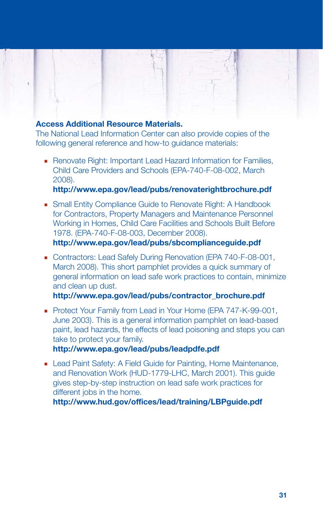#### Access Additional Resource Materials.

The National Lead Information Center can also provide copies of the following general reference and how-to guidance materials:

■ Renovate Right: Important Lead Hazard Information for Families, Child Care Providers and Schools (EPA-740-F-08-002, March 2008).

#### http://www.epa.gov/lead/pubs/renovaterightbrochure.pdf

- Small Entity Compliance Guide to Renovate Right: A Handbook for Contractors, Property Managers and Maintenance Personnel Working in Homes, Child Care Facilities and Schools Built Before 1978. (EPA-740-F-08-003, December 2008). http://www.epa.gov/lead/pubs/sbcomplianceguide.pdf
- Contractors: Lead Safely During Renovation (EPA 740-F-08-001, March 2008). This short pamphlet provides a quick summary of general information on lead safe work practices to contain, minimize and clean up dust.

http://www.epa.gov/lead/pubs/contractor\_brochure.pdf

■ Protect Your Family from Lead in Your Home (EPA 747-K-99-001, June 2003). This is a general information pamphlet on lead-based paint, lead hazards, the effects of lead poisoning and steps you can take to protect your family.

http://www.epa.gov/lead/pubs/leadpdfe.pdf

■ Lead Paint Safety: A Field Guide for Painting, Home Maintenance, and Renovation Work (HUD-1779-LHC, March 2001). This guide gives step-by-step instruction on lead safe work practices for different jobs in the home.

http://www.hud.gov/offices/lead/training/LBPguide.pdf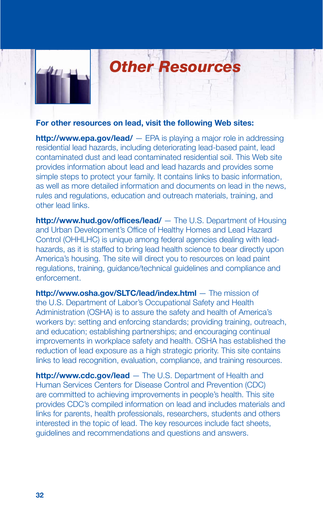## *Other Resources*

#### For other resources on lead, visit the following Web sites:

**http://www.epa.gov/lead/**  $-$  EPA is playing a major role in addressing residential lead hazards, including deteriorating lead-based paint, lead contaminated dust and lead contaminated residential soil. This Web site provides information about lead and lead hazards and provides some simple steps to protect your family. It contains links to basic information, as well as more detailed information and documents on lead in the news, rules and regulations, education and outreach materials, training, and other lead links.

http://www.hud.gov/offices/lead/ – The U.S. Department of Housing and Urban Development's Office of Healthy Homes and Lead Hazard Control (OHHLHC) is unique among federal agencies dealing with leadhazards, as it is staffed to bring lead health science to bear directly upon America's housing. The site will direct you to resources on lead paint regulations, training, guidance/technical guidelines and compliance and enforcement.

http://www.osha.gov/SLTC/lead/index.html — The mission of the U.S. Department of Labor's Occupational Safety and Health Administration (OSHA) is to assure the safety and health of America's workers by: setting and enforcing standards; providing training, outreach, and education; establishing partnerships; and encouraging continual improvements in workplace safety and health. OSHA has established the reduction of lead exposure as a high strategic priority. This site contains links to lead recognition, evaluation, compliance, and training resources.

http://www.cdc.gov/lead – The U.S. Department of Health and Human Services Centers for Disease Control and Prevention (CDC) are committed to achieving improvements in people's health. This site provides CDC's compiled information on lead and includes materials and links for parents, health professionals, researchers, students and others interested in the topic of lead. The key resources include fact sheets, guidelines and recommendations and questions and answers.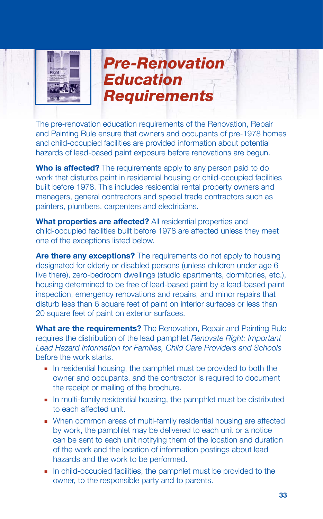

*Pre-Renovation Education Requirements* 

The pre-renovation education requirements of the Renovation, Repair and Painting Rule ensure that owners and occupants of pre-1978 homes and child-occupied facilities are provided information about potential hazards of lead-based paint exposure before renovations are begun.

Who is affected? The requirements apply to any person paid to do work that disturbs paint in residential housing or child-occupied facilities built before 1978. This includes residential rental property owners and managers, general contractors and special trade contractors such as painters, plumbers, carpenters and electricians.

What properties are affected? All residential properties and child-occupied facilities built before 1978 are affected unless they meet one of the exceptions listed below.

Are there any exceptions? The requirements do not apply to housing designated for elderly or disabled persons (unless children under age 6 live there), zero-bedroom dwellings (studio apartments, dormitories, etc.), housing determined to be free of lead-based paint by a lead-based paint inspection, emergency renovations and repairs, and minor repairs that disturb less than 6 square feet of paint on interior surfaces or less than 20 square feet of paint on exterior surfaces.

What are the requirements? The Renovation, Repair and Painting Rule requires the distribution of the lead pamphlet *Renovate Right: Important Lead Hazard Information for Families, Child Care Providers and Schools*  before the work starts.

- In residential housing, the pamphlet must be provided to both the owner and occupants, and the contractor is required to document the receipt or mailing of the brochure.
- In multi-family residential housing, the pamphlet must be distributed to each affected unit.
- When common areas of multi-family residential housing are affected by work, the pamphlet may be delivered to each unit or a notice can be sent to each unit notifying them of the location and duration of the work and the location of information postings about lead hazards and the work to be performed.
- In child-occupied facilities, the pamphlet must be provided to the owner, to the responsible party and to parents.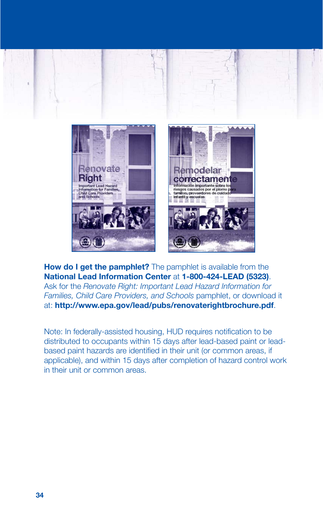



How do I get the pamphlet? The pamphlet is available from the National Lead Information Center at 1-800-424-LEAD (5323). Ask for the *Renovate Right: Important Lead Hazard Information for Families, Child Care Providers, and Schools* pamphlet, or download it at: http://www.epa.gov/lead/pubs/renovaterightbrochure.pdf.

Note: In federally-assisted housing, HUD requires notification to be distributed to occupants within 15 days after lead-based paint or leadbased paint hazards are identified in their unit (or common areas, if applicable), and within 15 days after completion of hazard control work in their unit or common areas.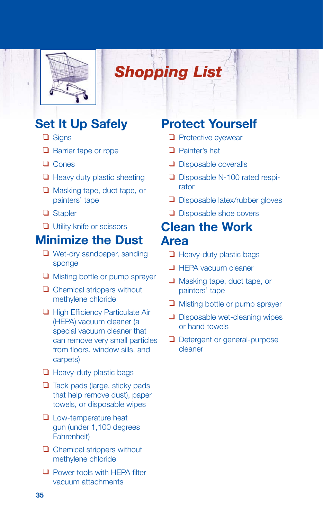

*Shopping List* 

## Set It Up Safely

- □ Signs
- $\Box$  Barrier tape or rope
- □ Cones
- $\Box$  Heavy duty plastic sheeting
- □ Masking tape, duct tape, or painters' tape
- □ Stapler
- ❑ Utility knife or scissors

## Minimize the Dust

- □ Wet-dry sandpaper, sanding sponge
- $\Box$  Misting bottle or pump sprayer
- $\Box$  Chemical strippers without methylene chloride
- □ High Efficiency Particulate Air (HEPA) vacuum cleaner (a special vacuum cleaner that can remove very small particles from floors, window sills, and carpets)
- $\Box$  Heavy-duty plastic bags
- $\Box$  Tack pads (large, sticky pads that help remove dust), paper towels, or disposable wipes
- □ Low-temperature heat gun (under 1,100 degrees Fahrenheit)
- $\Box$  Chemical strippers without methylene chloride
- □ Power tools with HFPA filter vacuum attachments

## Protect Yourself

- □ Protective eyewear
- ❑ Painter's hat
- □ Disposable coveralls
- □ Disposable N-100 rated respirator
- $\Box$  Disposable latex/rubber gloves
- □ Disposable shoe covers

## Clean the Work Area

- $\Box$  Heavy-duty plastic bags
- □ HEPA vacuum cleaner
- □ Masking tape, duct tape, or painters' tape
- $\Box$  Misting bottle or pump sprayer
- $\Box$  Disposable wet-cleaning wipes or hand towels
- □ Detergent or general-purpose cleaner